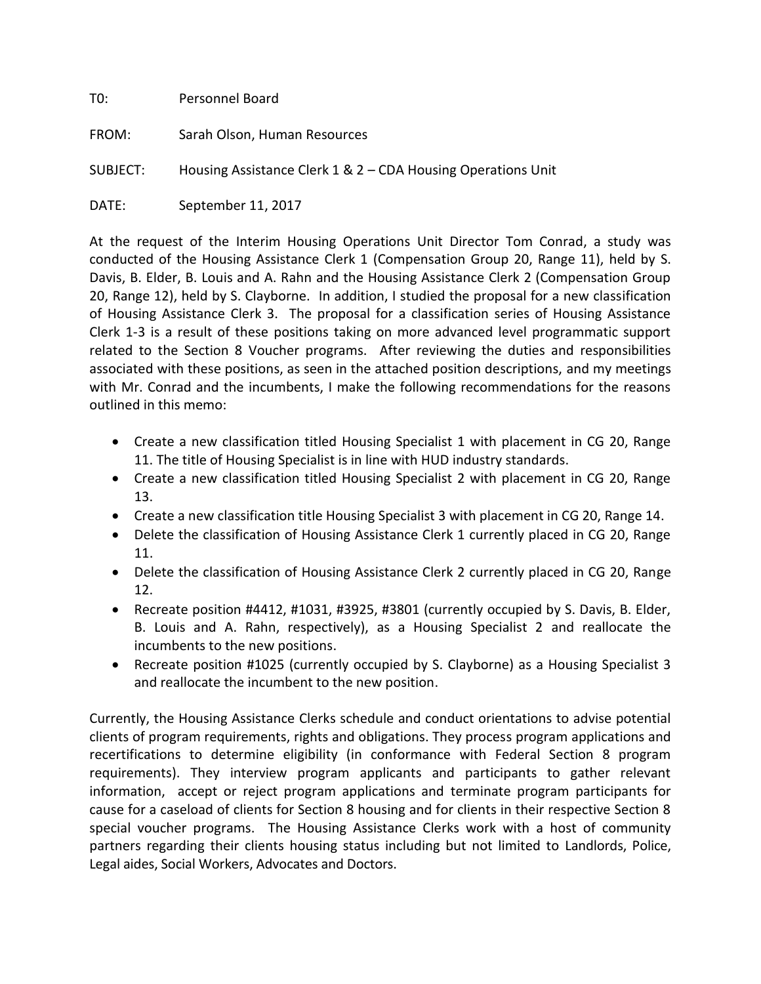| T0:      | Personnel Board                                              |
|----------|--------------------------------------------------------------|
| FROM:    | Sarah Olson, Human Resources                                 |
| SUBJECT: | Housing Assistance Clerk 1 & 2 – CDA Housing Operations Unit |
| DATE:    | September 11, 2017                                           |

At the request of the Interim Housing Operations Unit Director Tom Conrad, a study was conducted of the Housing Assistance Clerk 1 (Compensation Group 20, Range 11), held by S. Davis, B. Elder, B. Louis and A. Rahn and the Housing Assistance Clerk 2 (Compensation Group 20, Range 12), held by S. Clayborne. In addition, I studied the proposal for a new classification of Housing Assistance Clerk 3. The proposal for a classification series of Housing Assistance Clerk 1-3 is a result of these positions taking on more advanced level programmatic support related to the Section 8 Voucher programs. After reviewing the duties and responsibilities associated with these positions, as seen in the attached position descriptions, and my meetings with Mr. Conrad and the incumbents, I make the following recommendations for the reasons outlined in this memo:

- Create a new classification titled Housing Specialist 1 with placement in CG 20, Range 11. The title of Housing Specialist is in line with HUD industry standards.
- Create a new classification titled Housing Specialist 2 with placement in CG 20, Range 13.
- Create a new classification title Housing Specialist 3 with placement in CG 20, Range 14.
- Delete the classification of Housing Assistance Clerk 1 currently placed in CG 20, Range 11.
- Delete the classification of Housing Assistance Clerk 2 currently placed in CG 20, Range 12.
- Recreate position #4412, #1031, #3925, #3801 (currently occupied by S. Davis, B. Elder, B. Louis and A. Rahn, respectively), as a Housing Specialist 2 and reallocate the incumbents to the new positions.
- Recreate position #1025 (currently occupied by S. Clayborne) as a Housing Specialist 3 and reallocate the incumbent to the new position.

Currently, the Housing Assistance Clerks schedule and conduct orientations to advise potential clients of program requirements, rights and obligations. They process program applications and recertifications to determine eligibility (in conformance with Federal Section 8 program requirements). They interview program applicants and participants to gather relevant information, accept or reject program applications and terminate program participants for cause for a caseload of clients for Section 8 housing and for clients in their respective Section 8 special voucher programs. The Housing Assistance Clerks work with a host of community partners regarding their clients housing status including but not limited to Landlords, Police, Legal aides, Social Workers, Advocates and Doctors.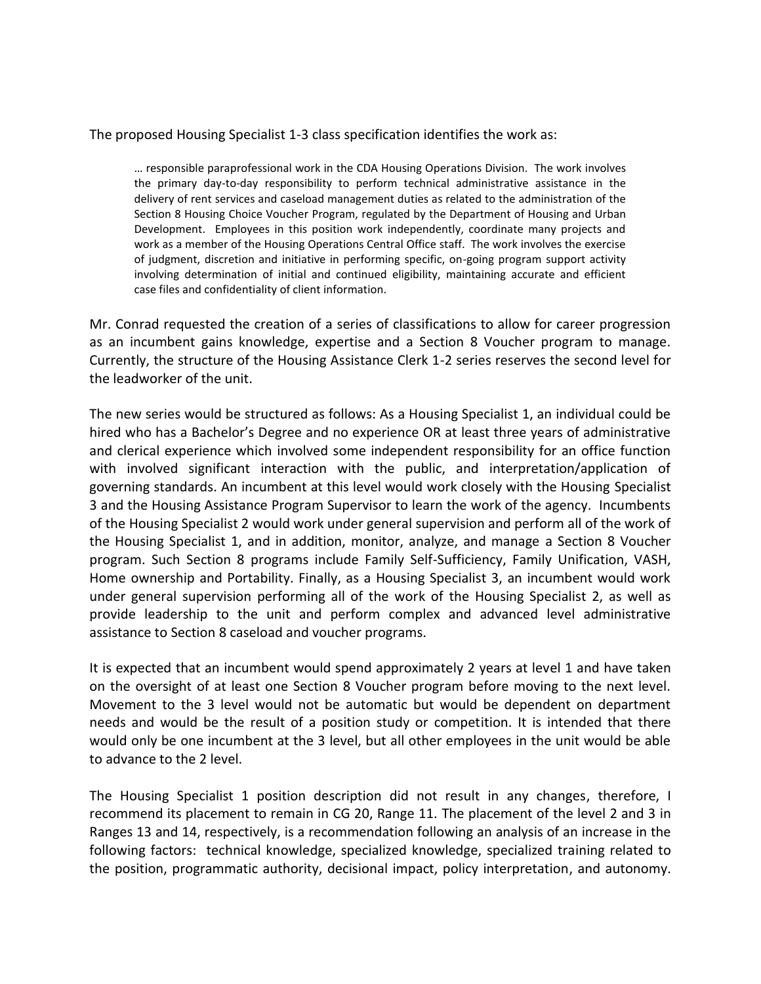## The proposed Housing Specialist 1-3 class specification identifies the work as:

… responsible paraprofessional work in the CDA Housing Operations Division. The work involves the primary day-to-day responsibility to perform technical administrative assistance in the delivery of rent services and caseload management duties as related to the administration of the Section 8 Housing Choice Voucher Program, regulated by the Department of Housing and Urban Development. Employees in this position work independently, coordinate many projects and work as a member of the Housing Operations Central Office staff. The work involves the exercise of judgment, discretion and initiative in performing specific, on-going program support activity involving determination of initial and continued eligibility, maintaining accurate and efficient case files and confidentiality of client information.

Mr. Conrad requested the creation of a series of classifications to allow for career progression as an incumbent gains knowledge, expertise and a Section 8 Voucher program to manage. Currently, the structure of the Housing Assistance Clerk 1-2 series reserves the second level for the leadworker of the unit.

The new series would be structured as follows: As a Housing Specialist 1, an individual could be hired who has a Bachelor's Degree and no experience OR at least three years of administrative and clerical experience which involved some independent responsibility for an office function with involved significant interaction with the public, and interpretation/application of governing standards. An incumbent at this level would work closely with the Housing Specialist 3 and the Housing Assistance Program Supervisor to learn the work of the agency. Incumbents of the Housing Specialist 2 would work under general supervision and perform all of the work of the Housing Specialist 1, and in addition, monitor, analyze, and manage a Section 8 Voucher program. Such Section 8 programs include Family Self-Sufficiency, Family Unification, VASH, Home ownership and Portability. Finally, as a Housing Specialist 3, an incumbent would work under general supervision performing all of the work of the Housing Specialist 2, as well as provide leadership to the unit and perform complex and advanced level administrative assistance to Section 8 caseload and voucher programs.

It is expected that an incumbent would spend approximately 2 years at level 1 and have taken on the oversight of at least one Section 8 Voucher program before moving to the next level. Movement to the 3 level would not be automatic but would be dependent on department needs and would be the result of a position study or competition. It is intended that there would only be one incumbent at the 3 level, but all other employees in the unit would be able to advance to the 2 level.

The Housing Specialist 1 position description did not result in any changes, therefore, I recommend its placement to remain in CG 20, Range 11. The placement of the level 2 and 3 in Ranges 13 and 14, respectively, is a recommendation following an analysis of an increase in the following factors: technical knowledge, specialized knowledge, specialized training related to the position, programmatic authority, decisional impact, policy interpretation, and autonomy.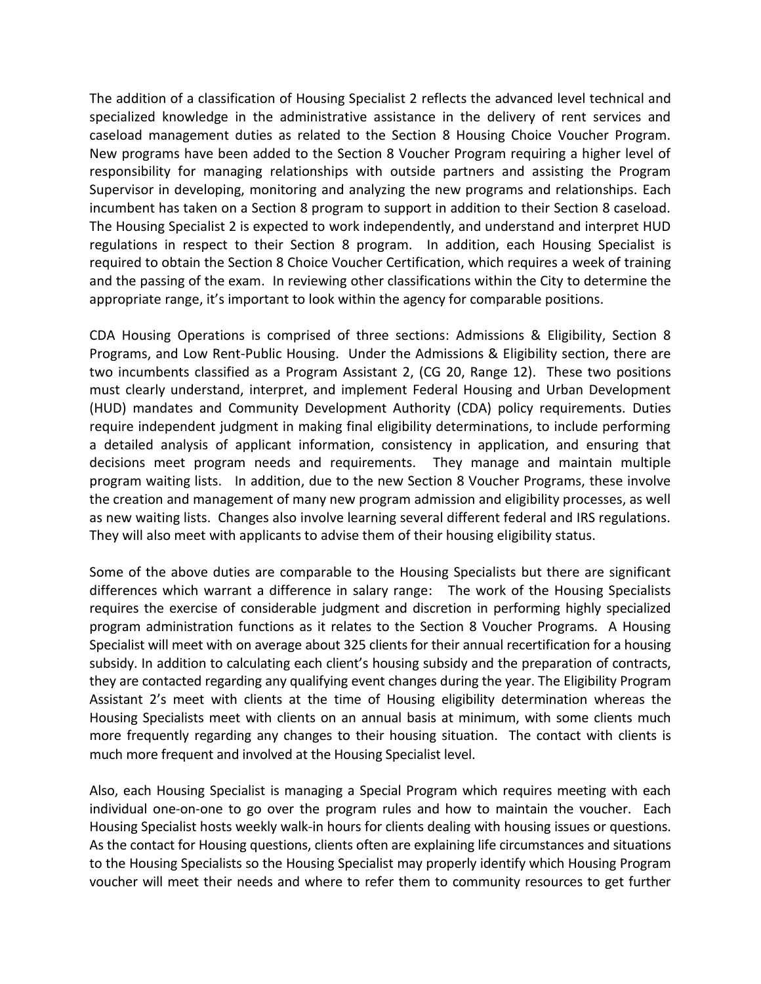The addition of a classification of Housing Specialist 2 reflects the advanced level technical and specialized knowledge in the administrative assistance in the delivery of rent services and caseload management duties as related to the Section 8 Housing Choice Voucher Program. New programs have been added to the Section 8 Voucher Program requiring a higher level of responsibility for managing relationships with outside partners and assisting the Program Supervisor in developing, monitoring and analyzing the new programs and relationships. Each incumbent has taken on a Section 8 program to support in addition to their Section 8 caseload. The Housing Specialist 2 is expected to work independently, and understand and interpret HUD regulations in respect to their Section 8 program. In addition, each Housing Specialist is required to obtain the Section 8 Choice Voucher Certification, which requires a week of training and the passing of the exam. In reviewing other classifications within the City to determine the appropriate range, it's important to look within the agency for comparable positions.

CDA Housing Operations is comprised of three sections: Admissions & Eligibility, Section 8 Programs, and Low Rent-Public Housing. Under the Admissions & Eligibility section, there are two incumbents classified as a Program Assistant 2, (CG 20, Range 12). These two positions must clearly understand, interpret, and implement Federal Housing and Urban Development (HUD) mandates and Community Development Authority (CDA) policy requirements. Duties require independent judgment in making final eligibility determinations, to include performing a detailed analysis of applicant information, consistency in application, and ensuring that decisions meet program needs and requirements. They manage and maintain multiple program waiting lists. In addition, due to the new Section 8 Voucher Programs, these involve the creation and management of many new program admission and eligibility processes, as well as new waiting lists. Changes also involve learning several different federal and IRS regulations. They will also meet with applicants to advise them of their housing eligibility status.

Some of the above duties are comparable to the Housing Specialists but there are significant differences which warrant a difference in salary range: The work of the Housing Specialists requires the exercise of considerable judgment and discretion in performing highly specialized program administration functions as it relates to the Section 8 Voucher Programs. A Housing Specialist will meet with on average about 325 clients for their annual recertification for a housing subsidy. In addition to calculating each client's housing subsidy and the preparation of contracts, they are contacted regarding any qualifying event changes during the year. The Eligibility Program Assistant 2's meet with clients at the time of Housing eligibility determination whereas the Housing Specialists meet with clients on an annual basis at minimum, with some clients much more frequently regarding any changes to their housing situation. The contact with clients is much more frequent and involved at the Housing Specialist level.

Also, each Housing Specialist is managing a Special Program which requires meeting with each individual one-on-one to go over the program rules and how to maintain the voucher. Each Housing Specialist hosts weekly walk-in hours for clients dealing with housing issues or questions. As the contact for Housing questions, clients often are explaining life circumstances and situations to the Housing Specialists so the Housing Specialist may properly identify which Housing Program voucher will meet their needs and where to refer them to community resources to get further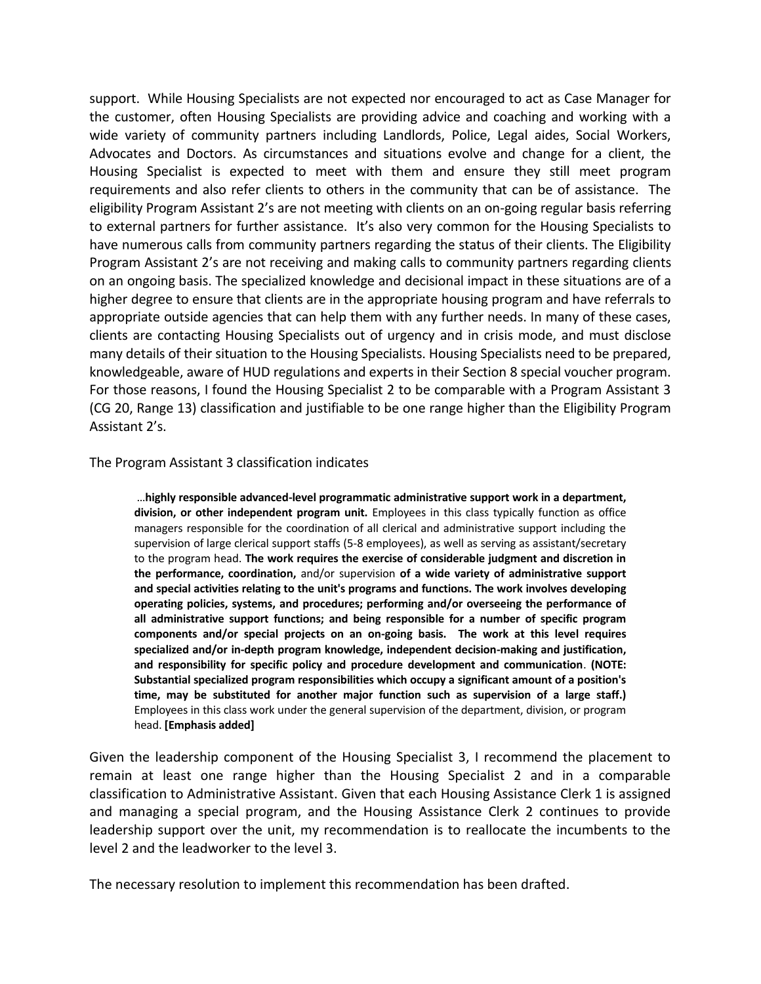support. While Housing Specialists are not expected nor encouraged to act as Case Manager for the customer, often Housing Specialists are providing advice and coaching and working with a wide variety of community partners including Landlords, Police, Legal aides, Social Workers, Advocates and Doctors. As circumstances and situations evolve and change for a client, the Housing Specialist is expected to meet with them and ensure they still meet program requirements and also refer clients to others in the community that can be of assistance. The eligibility Program Assistant 2's are not meeting with clients on an on-going regular basis referring to external partners for further assistance. It's also very common for the Housing Specialists to have numerous calls from community partners regarding the status of their clients. The Eligibility Program Assistant 2's are not receiving and making calls to community partners regarding clients on an ongoing basis. The specialized knowledge and decisional impact in these situations are of a higher degree to ensure that clients are in the appropriate housing program and have referrals to appropriate outside agencies that can help them with any further needs. In many of these cases, clients are contacting Housing Specialists out of urgency and in crisis mode, and must disclose many details of their situation to the Housing Specialists. Housing Specialists need to be prepared, knowledgeable, aware of HUD regulations and experts in their Section 8 special voucher program. For those reasons, I found the Housing Specialist 2 to be comparable with a Program Assistant 3 (CG 20, Range 13) classification and justifiable to be one range higher than the Eligibility Program Assistant 2's.

## The Program Assistant 3 classification indicates

…**highly responsible advanced-level programmatic administrative support work in a department, division, or other independent program unit.** Employees in this class typically function as office managers responsible for the coordination of all clerical and administrative support including the supervision of large clerical support staffs (5-8 employees), as well as serving as assistant/secretary to the program head. **The work requires the exercise of considerable judgment and discretion in the performance, coordination,** and/or supervision **of a wide variety of administrative support and special activities relating to the unit's programs and functions. The work involves developing operating policies, systems, and procedures; performing and/or overseeing the performance of all administrative support functions; and being responsible for a number of specific program components and/or special projects on an on-going basis. The work at this level requires specialized and/or in-depth program knowledge, independent decision-making and justification, and responsibility for specific policy and procedure development and communication**. **(NOTE: Substantial specialized program responsibilities which occupy a significant amount of a position's time, may be substituted for another major function such as supervision of a large staff.)** Employees in this class work under the general supervision of the department, division, or program head. **[Emphasis added]**

Given the leadership component of the Housing Specialist 3, I recommend the placement to remain at least one range higher than the Housing Specialist 2 and in a comparable classification to Administrative Assistant. Given that each Housing Assistance Clerk 1 is assigned and managing a special program, and the Housing Assistance Clerk 2 continues to provide leadership support over the unit, my recommendation is to reallocate the incumbents to the level 2 and the leadworker to the level 3.

The necessary resolution to implement this recommendation has been drafted.